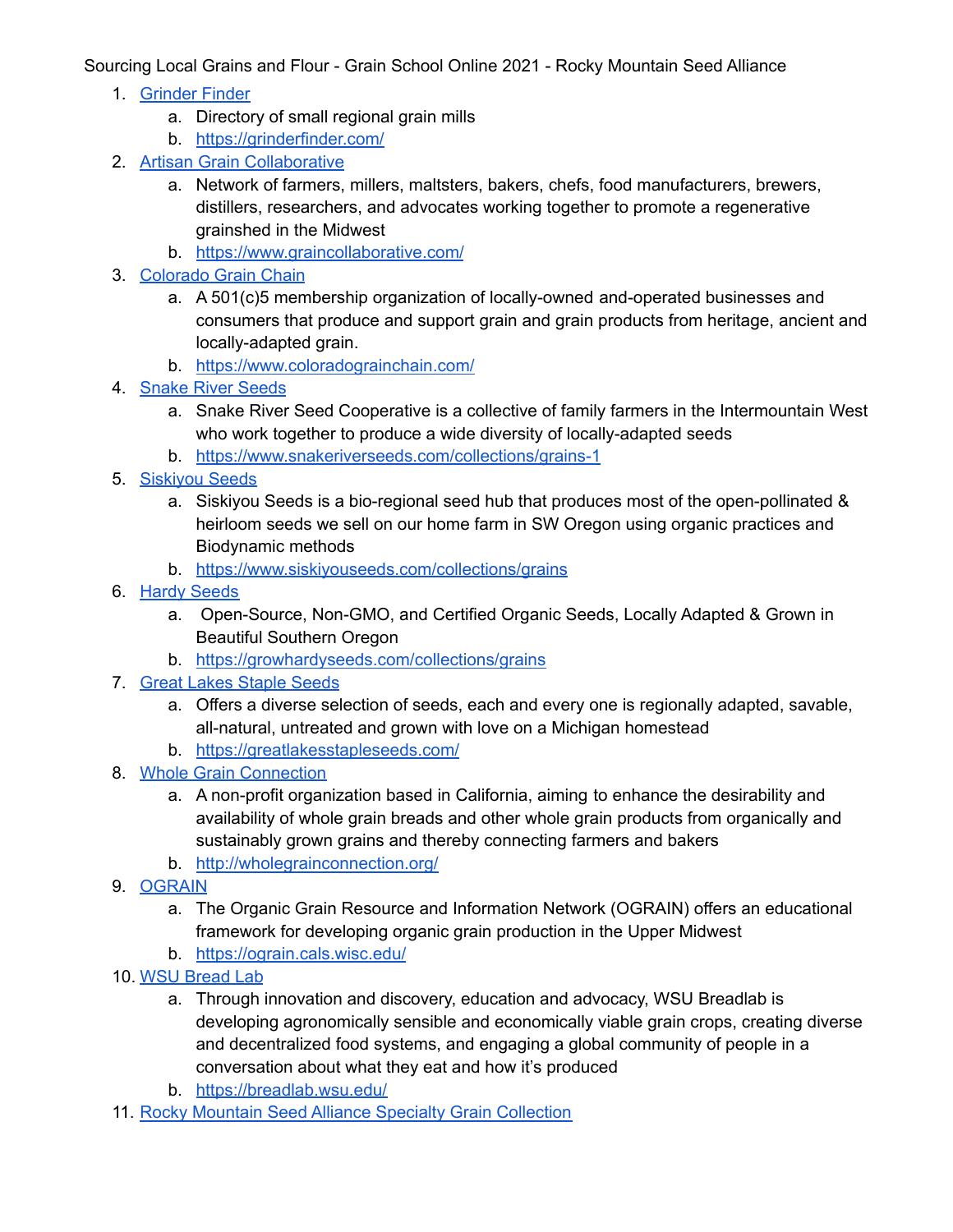Sourcing Local Grains and Flour - Grain School Online 2021 - Rocky Mountain Seed Alliance

- 1. [Grinder](https://grinderfinder.com/) Finder
	- a. Directory of small regional grain mills
	- b. <https://grinderfinder.com/>
- 2. Artisan Grain [Collaborative](https://www.graincollaborative.com/)
	- a. Network of farmers, millers, maltsters, bakers, chefs, food manufacturers, brewers, distillers, researchers, and advocates working together to promote a regenerative grainshed in the Midwest
	- b. <https://www.graincollaborative.com/>
- 3. [Colorado](https://www.coloradograinchain.com/) Grain Chain
	- a. A 501(c)5 membership organization of locally-owned and-operated businesses and consumers that produce and support grain and grain products from heritage, ancient and locally-adapted grain.
	- b. <https://www.coloradograinchain.com/>
- 4. [Snake](https://www.snakeriverseeds.com/collections/grains-1) River Seeds
	- a. Snake River Seed Cooperative is a collective of family farmers in the Intermountain West who work together to produce a wide diversity of locally-adapted seeds
	- b. <https://www.snakeriverseeds.com/collections/grains-1>
- 5. [Siskiyou](https://www.siskiyouseeds.com/collections/grains) Seeds
	- a. Siskiyou Seeds is a bio-regional seed hub that produces most of the open-pollinated & heirloom seeds we sell on our home farm in SW Oregon using organic practices and Biodynamic methods
	- b. <https://www.siskiyouseeds.com/collections/grains>
- 6. Hardy [Seeds](https://growhardyseeds.com/collections/grains)
	- a. Open-Source, Non-GMO, and Certified Organic Seeds, Locally Adapted & Grown in Beautiful Southern Oregon
	- b. <https://growhardyseeds.com/collections/grains>
- 7. Great Lakes [Staple](https://greatlakesstapleseeds.com/) Seeds
	- a. Offers a diverse selection of seeds, each and every one is regionally adapted, savable, all-natural, untreated and grown with love on a Michigan homestead
	- b. <https://greatlakesstapleseeds.com/>
- 8. Whole Grain [Connection](http://wholegrainconnection.org/)
	- a. A non-profit organization based in California, aiming to enhance the desirability and availability of whole grain breads and other whole grain products from organically and sustainably grown grains and thereby connecting farmers and bakers
	- b. <http://wholegrainconnection.org/>
- 9. [OGRAIN](https://ograin.cals.wisc.edu/)
	- a. The Organic Grain Resource and Information Network (OGRAIN) offers an educational framework for developing organic grain production in the Upper Midwest
	- b. <https://ograin.cals.wisc.edu/>
- 10. WSU [Bread](https://breadlab.wsu.edu/) Lab
	- a. Through innovation and discovery, education and advocacy, WSU Breadlab is developing agronomically sensible and economically viable grain crops, creating diverse and decentralized food systems, and engaging a global community of people in a conversation about what they eat and how it's produced
	- b. <https://breadlab.wsu.edu/>
- 11. Rocky Mountain Seed Alliance Specialty Grain [Collection](https://rockymountainseeds.org/order-grain-samples/)